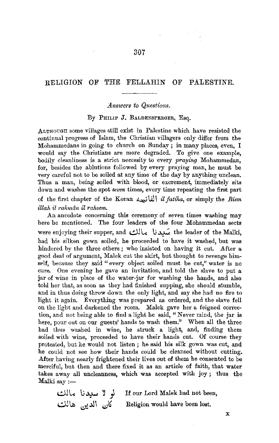## RELIGION OF THE FELLAHIN OF PALESTINE.

## *.Answers* to *Questions.*

## By PHILIP J. BALDENSPERGER, Esq.

ALTHOUGH some villages still exist in Palestine which have resisted the continual progress of Islam, the Christian villagers only differ from the Mohammedans in going to church on Sunday ; in many places, even, I would say the Christians are more degraded. To give one example, bodily cleanliness is a strict necessity to every *praying* Mohammedan, for, besides the ablutions followed by every praying man, he must be very careful not to be soiled at any time of the day by anything unclean. Thus a man, being soiled with blood, or excrement, immediately sits down and washes the spot *seven* times, every time repeating the first part of the first chapter of the Komn ~ IJ.l I *il fatiha,* or simply the *Bism illah il rahman il raheem.* 

An anecdote concerning this ceremony of seven times washing may here be mentioned. The four leaders of the four Mohammedan sects were enjoying their supper, and سُندنا مالك the leader of the Malki, had his silken gown soiled, he proceeded to have it washed, but was hindered by the three others; who insisted on having it cut. After a good deal of argument, Malek cut the skirt, but thought to revenge himself, because they said "every object soiled must be cut," water is no cure. One evening he gave an invitation, and told the slave to put a jar of wine in place of the water-jar for washing the hands, and also told her that, as soon as they had finished supping, she should stumble, and in thus doing throw down the only light, and say she had no fire to light it again. Everything was prepared as ordered, and the slave fell on the light and darkened the room. Malek gave her a feigned correction, and not being able to find a light he said, " Never mind, the jar is here, pour out on our guests' hands to wash them." When all the three had thus washed in wine, he struck a light, and, finding them soiled with wine, proceeded to have their hands cut. Of course they protested, but he would not listen ; he said his silk gown was cut, and he could not see how their hands could be cleansed without cutting. After having nearly frightened their lives out of them he consented to be merciful, but then and there fixed it as an article of faith, that water takes away all uncleanness, which was accepted with joy; thus the  $Malki$  say :—

لو لا سيدنا مالك If our Lord Malek had not been, كان الدين هالك Religion would have been lost.

X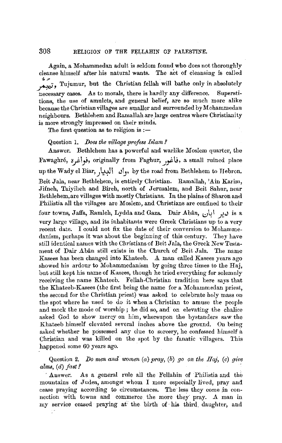Again, a Mohammedan adult is seldom found who does not thoroughly cleanse himself after his natural wants. The act of cleansing is called  $\frac{1}{2}$ , *Tujumur*, but the Christian fellah will bathe only in absolutely necessary cases. As to morals, there is hardly any difference. Superstitions, the use of amulets, and general belief, are so much more alike because the Christian villages are smaller and surrounded by Mohammedan neighbours. Bethlehem and Ramallah are large centres where Christianity is more strongly impressed on their minds.

The first question as to religion is:-

## Question 1. *IJoes the village profess Islam?*

Answer. Bethlehem has a powerful and warlike Moslem quarter, the Fawaghre, ~1\_,.i, originally from Faghur, *.Jyz~,* a small ruined place up the Wady el Biar, , وأن البيار, by the road from Bethlehem to Hebron. Beit Jala, near Bethlehem, is entirely Christian. Ramallah, 'Ain Karim, Jifneh, Taiyibeh and Bireh, north of Jerusalem, and Beit Sahnr, near Bethlehem,are villages with mostly Christians. In the plains of Sharon and Philistia all the villages are Moslem, and Christians are confined to their four towns, Jaffa, Ramleh, Lydda and Gaza. Dair Abân, فير أبان is a very large village, and its inhabitants were Greek Christians up to a very recent date. I could not fix the date of their conversion to Mohammedanism, perhaps it was about the beginning of this century. They have still identical names with the Christians of Beit J ala, the Greek New Testament of Dair Abân still exists in the Church of Beit Jala. The name Kasees has been changed into Khateeb. *A.* man called Kasees years ago showed his ardour to Mohammedanism by going three times to the Haj, but still kept his name of Kasees, though he tried everything for solemnly receiving the name Khateeb. Fellah-Christian tradition here says that the Khateeb-Kasees (the first being the name for a Mohammedan priest, the second for the Christian priest) was asked to celebrate holy mass on the spot where he used to do it when a Christian to amuse the people and mock the mode of worship ; he did so, and on elevating the chalice asked God to show mercy on him, whereupon the bystanders saw the Khateeb himself elevated several inches above the ground. On being asked whether he possessed any clue to sorcery, he confessed himself a Christian and was killed on the spot by the fanatic villagers. This happened some 60 years ago.

Question 2. *Do men and women* (a) *pray, (b) go on the Haj, (c) give alms,* ( *d) fast* ?

· Answer. As a general rule all the Fellahin of Philistia and the mountains of Judea, amongst whom I more especially lived, pray and cease praying according to circumstances. The less they come in connection with towns and commerce the more they· pray. *A.* man in my service ceased praying at: the birth of· his third daughter, and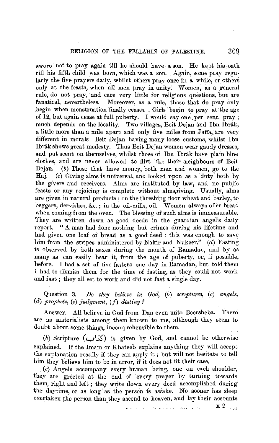swore not to pray again till he should have a son. He kept his oath till his fifth child was born, which was a son. \_ Again, some pray regularly the five prayers daily, whilst others pray once in a while, or others only at the feasts, when all men pray in unity. Women, as a general rule, do not pray, and care very little for religious questions, but are fanatical, nevertheless. Moreover, as a rule, those that do pray only begin when menstruation finally ceaseg. , Girls· begin to pray at the age of 12, but again cease at full puberty. I would say one per cent. pray; much depends on the locality. Two villages, Beit Dejan and Ibn Ibrâk, a little more than a mile apart and only five miles from Jaffa, are very different in morals-Beit Dejan having many loose customs, whilst Ibn Ibrak shows great modesty. Thus Beit Dejan women wear gaudy dresses, and put scent on themselves, whilst those of Ibn Ibrâk have plain blue clothes, and are never allowed to flirt like their neighbours of Beit Dejan. (b) Those that have money, both men and women, go to the Haj. (c) Giving alms is universal, and looked upon as a duty both by the givers and receivers. Alms are instituted by law, and no public feasts or any rejoicing is complete without almsgiving. Usually, alms are given in natural products ; on the threshing floor wheat and barley, to beggars, dervishes, &c.; in the oil-mills, oil. Women always offer bread when coming from the oven. The blessing of such alms is immeasurable. They are written down as good deeds in the guardian angel's daily report. "A man had done nothing but crimes during his lifetime and had given one loaf of bread as a good deed : this was enough to save him from the stripes administered by Nakir and Nukeer."  $(d)$  Fasting is observed by both sexes during the month of Ramadan, and by as many as can easily bear it, from the age of puberty, or, if possible, before. I had a set of five fasters one day in Ramadau, but told them I had to dismiss them for the time of fasting, as they could not work and fast ; they all set to work and did not fast a single day.

Question 3. *Do they believe in God,* (b) *scriptures,* (c) angels, (d) prophets, (e) judgment, (f) destiny?

Answer. All believe in God from Dan even unto Beersheba. There are no materialists among them known to me, although they seem to doubt about some things, incomprehensible to them. Ä

(b) Scripture **(y\.'i.\$')** is given by God, and cannot be otherwise explained. If the Imam or Khateeb explains anything they will accept the explanation readily if they can apply it ; but will not hesitate to tell him they believe him to be in error, if it does not fit their case.

(c) Angels accompany every human being, one on each shoulder, they are greeted at the end of 'every prayer by turning towards them, right and left ; they write down every deed accomplished during the daytime, or as long as the person is awake. No sooner has sleep overtaken the person than they ascend to heaven, and lay their accounts

, and the component of the contract  $\mathbf{x}[2]$  , i.e.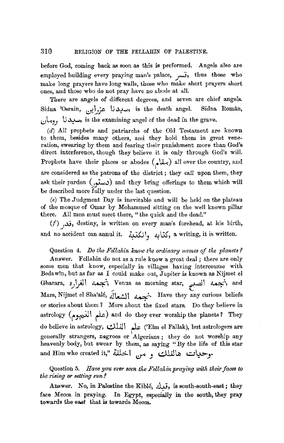before God, coming back as soon as this is performed. Angels also are employed building every praying man's palace, .j., thus those who make long prayers have long walls, those who make short prayers short ones, and those who do not pray have no abode at all.

There are angels of different degrees, and seven are chief angels. Sidna 'Osrain, سديدنا عزراي<sub>،</sub>, is the death angel. Sidna Român, i;,/L.'J l,; ~, is the examining angel of the dead in the grave.

(d) All prophets and patriarchs of the Old Testament are known to them, besides many others, and they hold them in great veneration, swearing by them and fearing their punishment more than God's direct interference, though they believe it is only through God's **will.**  Prophets have their places or abodes (مقام) all over the country, and are considered as the patrons of the district; they call upon them, they ask their pardon (c, نستو) and they bring offerings to them which will **be** described more fully under the last question.

(e) The Judgment Day is inevitable and will be held on the plateau of the mosque of Omar by Mohammed sitting on the well known pillar there. All men must meet there, "the quick and the dead."

*(f) ...)..(;,* destiny, is written on every man's forehead, at his birth, and no accident can annul it. <br/> يكتابه وانكتية, a writing, it is written.

Question 4. *Do the Fellahin know the ordinary names of the planets?* 

Answer. Fellahin do not as a rule know a great deal ; there are only some men that know, especially in villages having intercourse with Bedawin, but as far as I could make out, Jupiter is known as Nijmet el Gharara, أخجمه الصبح , Venus as morning star, حجمه الغرارة, and Mars, Nijmet el Sha'alé, الشعالَة . Have they any curious beliefs or stories about them 1 More about the fixed stars. Do they believe in astrology (علم النجوم) and do they ever worship the planets? They do believe in astrology, علم الفلك), ellm el Fallak), but astrologers are generally strangers, negroes or Algerians ; they do not worship any heavenly body, but swear by them, as saying "By the life of this star and Him who created it," متماقد المحلقة.<br>مو**ح**يات هالفلك و مس

Question 5. *Have you ever seen the Fellahin praying with their faces to tlie rising or setting sun?* 

Answer. No, in Palestine the Kiblé, ... is south-south-east; they face Mecca in praying. In Egypt, especially in the south, they pray towards the east that is towards Mecca.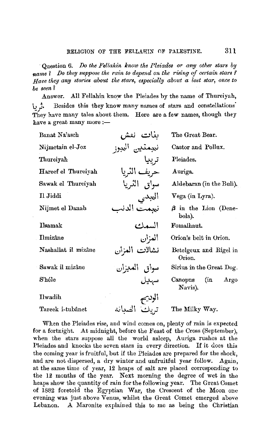Question 6. Do *the Fellahin know the I'leiades or any other stars* by *name* 1 *Do they suppose the rain to depend on the ruing of certain stars* !' *Have they any stories about the stars, especially about a lost star, once to be seen 1* 

Answer. All Fellahin know the Pleiades by the name of Thureiyah, \., j, Besides this they know many names of stars and constellations· ·•,/ They have many tales about them. Here are a few names, though they have a great many more :-

| Banat Na'asch       | ىنات نەش      | The Great Bear.                      |
|---------------------|---------------|--------------------------------------|
| Nijmetain el-Joz    | نجمتين البجز  | Castor and Pollux.                   |
| Thureiyah           | ترييا         | Pleiades.                            |
| Hareef el Thureiyah | حريف الثريا   | Auriga.                              |
| Sawak el Thureiyah  | سواق التريا   | Aldebaran (in the Bull).             |
| Il Jiddi            | العجدي        | Vega (in Lyra).                      |
| Nijmet el Danab     | نعمت الدنب    | $\beta$ in the Lion (Dene-<br>bola). |
| Ilsamak             | السمك         | Fomalhaut.                           |
| Ilmizâne            | المزان        | Orion's belt in Orion.               |
| Nashallat il mizâne | نشالات العزان | Betelgeux and Rigel in<br>Orion.     |
| Sawak il mizâne     | سواق العبزان  | Sirius in the Great Dog.             |
| $8$ 'héle           | سهدل          | (in<br>Canopus<br>Argo<br>Navis).    |
| Ilwadih             | الوديح        |                                      |
| Tareek i-tubânet    | الصدانه       | The Milky Way.                       |

When the Pleiades rise, and wind comes on, plenty of rain is expected for a fortnight. At midnight, before the Feast of the Cross (September), when the stars suppose all the world asleep, Auriga rushes at the Pleiades and knocks the seven stars in every direction. If it does this the coming year is fruitful, but if the Pleiades are prepared for the shock, and are not dispersed, a dry winter and unfruitful year follow. Again, at the same time of year, 12 heaps of salt are placed corresponding to the 12 months of the year. Next morning the degree of wet in the heaps show the quantity of rain for the following year. The Great Comet of 1882 foretold the Egyptian War, the Crescent of the Moon one evening was just above Venus, whilst the Great Comet emerged above Lebanon. A Maronite explained this to me as being the Christian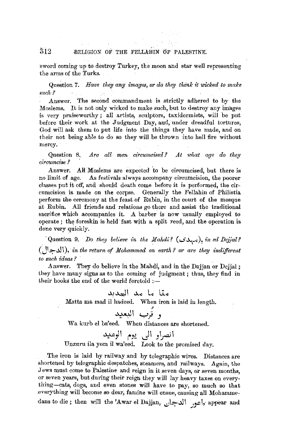# $$12$  RELIGION OF THE FELLAHIN OF PALESTINE.

sword coming up to destroy Turkey, the moon and star well representing the arms of the Turks.

Question 7. *Have they any images, or do they think it wicked to make such-?* 

Answer. The second commandment is strictly adhered to by the Moslems. It is not only wicked to make such, but to destroy any images is very praiseworthy ; all artists, sculptors, taxidermists, will be put before their work at the Judgment Day, and, under dreadful tortures, God will ask them to put life into the things they have made, and on their not being able to do so they will be thrown into hell fire without mercy.

Question 8. *Are all men circumcised?* At what age do they *circumcise ?* 

Answer. **AM** Moslems are expected 'to be circumcised, but there is no limit of age. As festivals always accompany circumcision, the poorer classes put it off, and should death come before it is performed, the circumcision is made on the corpse. Generally the Fellahin of Philistia perform the ceremony at the feast of Rubin, in the court of the mosque at Rubin. All friends and relations go there and assist the traditional sacrifice which accompanies it. A barber is now usually employed to operate; the foreskin is held fast with a split reed, and the operation is done very quickly.

· Question 9. *Do they believe in the Mahdi?* ( *..S* ~ ), *in ed Dejjal?*  (J1.~~ \ ), *in the re'turn of .Mohammed on earth? or are they indifferent to such ideas ?* ·

.Answer. They do believe in the Mahdi, and in the Dajjan or Dejjal; they have many signs aa to the coming of judgment ; thus, they find in their books the end of the world foretold :-

# متا ما مد العديد

Matta ma mad il hadeed. When iron is laid in length.<br>• وَيُربَّ الْنِعْدِيد

Wa kurb el ba'eed. When distances are shortened.

# انصراو ال<sub>ی </sub>یوم الوعید Unzurn ila yom il wa'eed. Look to the promised day.

The iron is laid by railway and by telegraphic wires. Distances are shortened by telegraphic despatches, steamers, and railways. Again, the Jews must come to Palestine and reign in it seven days, or seven months, or seven years, but during their reign they will lay heavy taxes on everything-cats, dogs, and even stones **will** have to pay, so much so that .everything **will** become so dear, famine **will** ensue, causing all Mohammedans to die; then will the 'Awar el Dajjan, \!,!\~~•, .)y:.-1, appear and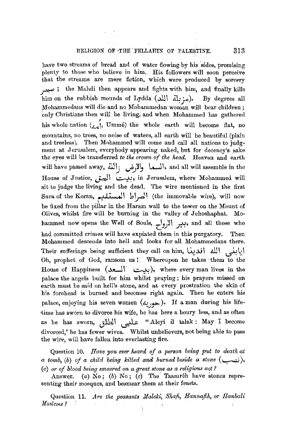have two streams of bread and of water flowing by his sides, promising plenty to those who believe in him. His followers will soon perceive that the streams are mere fiction, which were produeed by sorcery the Mahdi then appears and fights with him, and finally kills him on the rubbish mounds of Lydda (مزبلة الله). By degrees all Mohammedans will die and no Mohammedan woman will bear children; only Christians then will be living, and when Mohammed has gathered his whole nation  $\begin{pmatrix} 1 & 0 \\ 0 & \alpha \end{pmatrix}$ , Ummé) the whole earth will become flat, no mountains, no trees, no noise of waters, all earth will be beautiful (plain and treeless). Then Mohammed will come and call all nations to judgment at Jerusalem, everybody appearing naked, but for decency's sake the eyes will be transferred *to the crown of the head.* Heaven and earth will have passed away, ألسما والأرض ; النة, and all will assemble in the House of J nstice, ~ \ *..::-,~,* in Jerusalem, where Mohammed **will**  sit to judge the living and the dead. The wire mentioned in the first Sura of the Koran, الصراط المستقيم) (the immovable wire), will now be fixed from the pillar in the Haram wall to the tower on the Mount of Olives, whilst fire will be burning in the valley of Jehoshaphat. Mohammed now opens the Well of Souls, وبير الارواح, and all those who had committed crimes will have expiated them in this purgatory. Then Mohammed descends into hell and looks for all Mohammedans there. Their sufferings being sufficient they call on him, **~.).j\** ill I ~~-1 Oh, prophet of God, ransom us ! Whereupon he takes them to the House of Happiness ( ~ \ · ~ ), where every man lives **in** the palace the angels built for him whilst praying ; his prayers missed on earth must be said on hell's stone, and at every prostration the skin of his forehead is burned and becomes right again. Then he enters his palace, enjoying his seven women  $(\lambda, \lambda)$ , If a man during his lifetime has sworn to divorce his wife, he has here a houry less, and as often as he has sworn, **Jill\** ~ "Aleyi **il** talak: May I become divorced," he has fewer wives. Whilst unbelievers, not being able to pass the wire, will have fallen into everlasting fire.

Question 10. *Have you ever heard of a person being put to death at a tomb,* (b) *of a child being killed and burned beside a stone* ( ~ ), (c) *or of blood being smeared on a great stone as a religious act?* 

Answer. (a)  $N_0$ ; (b)  $N_0$ ; (c) The Taamreh have stones representing their mosques, and besmear them at their feasts.

Question 11. *Are the peasants Maleki*, Shafi, Hannafih, or Hanbali *Moslerns?*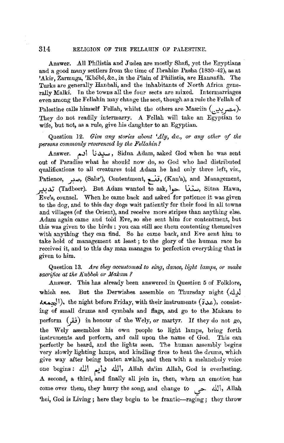314 RELIGION OF THE FELLAHIN OF PALESTINE.

Answer. All Philistia and Judea are mostly Shafi, yet the Egyptians and a good many settlers from the time of Ibrahim Pasha (1830-42), as at 'Akir, Zarmuga, 'Kbébé, &c., in the Plain of Philistia, are Hannafih. The Turks are generally Hanbali, and the inhabitants of North Africa generally Malki. Jn the towus all the four sects are mixed. Intermarriages even among the Fellahin may change the sect, though as a rule the Fellah of Palestine calls himself Fellah, whilst the others are Masriin  $(.,\_\_\_o)$ . They do not readily intermarry. A Fellah will take an Egyptian to wife, but not, as a rule, give his daughter to an Egyptian.

Question 12. Give any stories about 'Aly, &c., or any other of the *persons commonly reverenced by the Fellahin?* 

<sub>sons commonly reverenced by the Fellahin?</sup><br>Answer. مسيدنا ابم Sidna Adam, asked God when he was sent</sub> out of Paradise what he should now do, so God who had distributed qualifications to all creatures told Adam he had only three left, *viz.,*  Patience, صدبر, (Sabr'), Contentment, قنسغ, (Kan'a), and Management, **Po.).]** (Tadbeer). But Adam wanted to ask,\\_\_,>- **G..:;...,,** Sitna Hawa, Eve's, counsel. When he came back and asked for patience it was given to the dog, and to this day dogs wait patiently for their food in all towns and villages (of the Orient), and receive more stripes than anything else. Adam again came and told Eve, so she sent him for contentment, but this was given to the birds; you can still see them contenting themselves with anything they can find. So he came back, and Eve sent him to take hold of management at least ; to the glory of the human race he received it, and to this day man manages to perfection everything that is given to him.

Question 13. *Are they accustomed to sing, dance, light lamps, or make sacrifice at the K ubbeh or M alcam* ?

Answer. This has already been answered in Question 5 of Folklore, which see. But the Derwishes assemble on Thursday night  $(d)$  $\lambda$ عددة), the night before Friday, with their instruments ( $i\lambda$ ), consisting of small drums and cymbals and flags, and go to the Makam to perform  $(iii)$  in honour of the Wely, or martyr. If they do not go, the Wely assembles his own people to light lamps, bring forth instruments and perform, and call upon the name of God. This can perfectly be heard, and the lights seen. The human assembly begins very slowly lighting lamps, and kindling fires to heat the drums, which give way after being beaten awhile, and then with a melancholy voice one begins: الله دايم الله, Allah da'im Allah, God is everlasting. A second, a third, and finally all join in, then, when an emotion has come over them, they hurry the song, and change to  $\frac{1}{\sqrt{2}}$ , Allah 'hei, God is Living; here they begin to be frantic-raging; they throw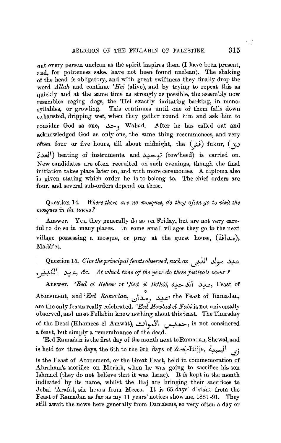out every person unclean as the spirit inspires them (I have been present, and, for politeness sake, have not been found unclean). The shaking of the head is obligatory, and with great swiftness they finally drop the word *Allah* and continue *'Hei* (alive), aud by trying to repeat this as quickly and at the same time as strongly as possible, the assembly now resembles raging dogs, the 'Hei exactly imitating barking, in monosyllables, or growling. This continues until one of them falls down exhausted, dripping wet, when they gather round him and ask him to consider God as one, وحد, Wahad. After he has called out and acknowledged God as only one, the same thing recommences, and very often four or five hours, till about midnight, the **(.JG)** fukur, **(J-> ~.M\I)** beating of instruments, and **~f** (tow'heed) is carried on. New candidates are often recruited on such evenings, though the final initiation takes place later on, and with more ceremonies. A diploma also is given stating which order be is to belong to. The chief orders are four, and several sub-orders depend on these.

Question 14. Where there are no mosques, do they often go to visit the *mosrp,es in the towns ?* 

Answer. Yes, they generally do so on Friday, but are not very careful to do so in many places. In some small villages they go to the next village possessing a mosque, or pray at the guest house,  $(\lambda x)$ , Madâfet.

Question 15. *Give the principal feasts observed, such as* \..':~ I **--'\,Y"** ~ .\_r.+sJ \ ~~, *&c. At which time of the year do these festivals occur* <sup>f</sup>

Answer. *'Eed el Kebeer* or *'Eed el De'hié, حيد* الدحيه, Feast of Atonement, "' and *'Eed Ramadan, ~\..)...o\_) ~,* the Feast of Ramadan, are the only feasts really celebrated. 'Eed Mowlad el Nabi is not universally observed, and most Fellahin know nothing about this feast. The Thursday of the Dead (Khamees el Amwât), الجميس الأموات, is not considered a feast, but simply a remembrance of the dead.

'Eed Ramadan is the first day of the month next to Ramadan, Shewal, and is held for three days, the 6th to the 9th days of Zi-el-Hijje, **4"...J\** *..jj*  is the Feast of Atonement, or the Great Feast, held in commemoration of Abraham's sacrifice on Moriah, when he was going to sacrifice his son Ishmael (they do not believe that it was Isaac). It is kept in the month indicated by its name, whilst the Haj are bringing their sacrifices to Jebal 'Arafat, six hours from Mecca. It is 65 days' distant from the Feast of Ramadan as far as my 11 years' notices show me, 1881 -91. They still await the news here generally from Damascus, so very often a day or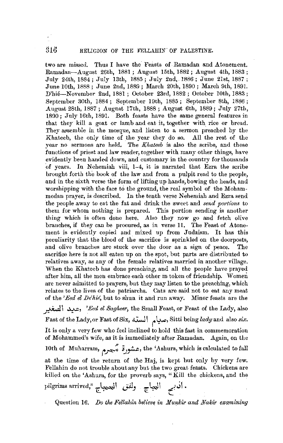two are missed. Thus I have the Feasts of Ramadan and Atonement. Ramadan-August 26th, 1881 ; August 15th, 1882 ; August 4th, 1883 ; July 24th, 1884; July 13th, 1885; July 2nd, 1886; June 21st, 1887; June 10th, 1888 ; June 2nd, 1889; March 20th, 1890; March 9th, 1891. D'hie-November 2nd, 1881; October 23rd, 1882; October 10th, 1883; September 30th, 1884; September 19th, 1885; September 8th, 1886 ; August 28th, 1887; August 17th, 1888; August 6th, 1889; July 27th, 1890; July 16th, 1891. Both feasts have the same general features in that they kill a goat or Iamb and eat it, together with rice or bread. They assemble in the mosque, and listen to a sermon preached by the Khateeb, the only time of the year they do so. All the rest of the year no sermons are held. The *Khateeb* is also the scribe, and these functions of priest and law reader, together with many other things, have evidently been handed down, and customary in the country for thousands of years. In Nehemiah viii, 1-4, it is narrated that Ezra the scribe brought forth the book of the law and from a pulpit read to the people, and in the sixth verse the form of lifting up hands, bowing the heads, and worshipping with the face to the ground, the real symbol of the Mohammedan prayer, is described. In the tenth verse Nehemiah and Ezra send the people away to eat the fat and drink the sweet and *send portions* to them for whom nothing is prepared. This portion sending is another thing which is often done here. Also they now go and fetch olive branches, if they can be procured, as in verse 11. The Feast of Atonement is evidently copied and. mixed up from Judaism. It has this peculiarity that the blood of the sacrifice is sprinkled on the doorposts, and olive branches are stuck over the door as a sign of peace. The sacrifice here is not all eaten up on the spot, but parts are distributed to relatives away, as any of the female relatives married in another village. When the Khateeb has done preaching, and all the people have prayed after him, all the men embrace each other m token of friendship. Women are never admitted to prayers, but they may listen to the preaching, which relates to the lives of the patriarchs. Cats are said not to eat any meat of the *'Eed el De'hie*, but to shun it and run away. Minor feasts are the

*J~* 1 ~, *'Eed el Sagheer,* the Small Feast, or Feast of the Lady, also Fast of tlie Lady, or Fast of Six, **.G,..J** I ~ ~, Sitti being lady and also *six.*  It is only a very few who feel inclined to hold this fast in commemoration of Mohammed's wife, as it is immediately after Ramadan, Again, on the 10th of Muharram, ~ ~ **~y!-.c,** the '.Ashura, which is calculated to fall at the time of the return of the Haj, is kept but only by very few. Fellahin do not trouble about any but the two great feasts. Chickens are killed on the 'Ashura, for the proverb says, "Kill the chickens, and the i,ilgrims arrived," '[.~I **~.J 'c::'~\** *t~..;\* •

Question 16. *Do the Fellahin believe in Munkir and Nakir examining*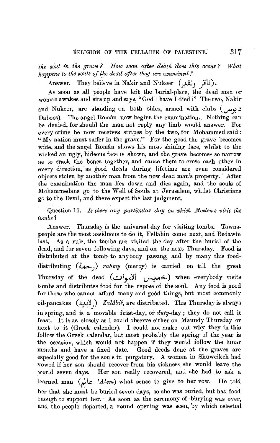*the soul in the grave ? How soon after deatli does this occur? What happens to the souls of the dead after they are examined?* 

Answer. They believe in Nakir and Nukeer **(~J JIJ).** 

As soon as all people have left the burial-place, the dead man or woman awakes and sits up and says, "God ! have I died?" The two, Nakir and Nukeer, are standing on both sides, armed with clubs **(i..,w\_y.J**  Dahoos). The angel Român now begins the examination. Nothing can be denied, for should the man not reply any limb would answer. For every crime he now receives stripes by the two, for Mohammed said: "My nation must suffer in the grave." For the good the grave becomes wide, and the angel Român shows his most shining face, whilst to the wicked an ugly, hideous face is shown, and the grave becomes so narrow as to crack the bones together, and cause them to cross each other in every direction, as good deeds during lifetime are even considered objects stolen by another man from the now dead man's property. After the examination the man lies down and dies again, and the souls of M\_ohammedans go to the Well of Souls at Jerusalem, whilst Christians go to the Devil, and there expect the last judgment.

Question 17. Is there any particular day on which Moslems visit the *tombs 1* 

Answer. Thursday is the universal day for visiting tombs. Townspeople are the most assiduous to do it, Fellahin come next, and Bedaw'tn last. As a rule, the tombs are visited the day after the burial of the dead, and for seven following days, and on the next Thursday. Food is distributed at the tomb to anybody passing, and by many this fooddistributing **(L..>-..,)** *rahmy* (mercy) is carried on till the great Thursday of the dead **(c.,\\_yc~\ v-::'--+>)** when everybody visits tombs and distributes food for the repose of the soul. Any food is good for those who cannot afford many and good things, but most commonly oil-pancakes ( <½"-!1j) *Zalabie'.* are distributed. This Thursday is always in spring, and is a movable feast-day, or *duty-day* ; they do not call it feast. It is as closely as I could observe either on Maundy Thursday or next to it (Greek calendar). I could not make out why they in this follow the Greek calendar, but most probably the spring of the year is the occasion, which would not happen if they would follow the lunar months and have a fixed date. Good deeds done at the graves are especially good for the souls in purgatory. A woman in Shuweikeh had vowed if her son should recover from his sickness she would leave the world seven days. Her son really recovered, and she had to ask a learned man **(rl\;** *'.Hem)* what sense to give to her vow. He told her that she must be buried seven days, so she was buried, but had food enough to support her. As soon as the ceremony of -burying was over, and the people departed, a round opening was seen, by which celestial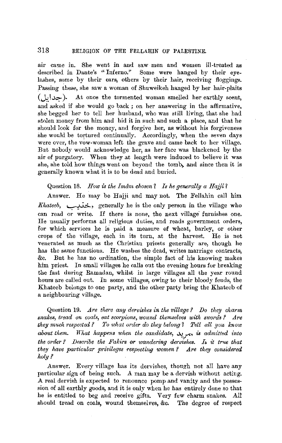air came in. She went in and saw men and women ill-treated as described in Dante's "Inferno." Some were hanged by their eye-Some were hanged by their eyelashes, some by their ears, others by their hair, receiving floggings. Passing these, she saw a woman of Shuweikeh hanged by her hair-plaits  $($ ,  $\cup$   $\infty$ ). At once the tormented woman smelled her earthly scent, and asked if she would go back ; on her answering in the affirmative, she begged her to tell her husband, who was still living, that she had stolen money from him and hid it in such and such a place, and that he should look for the money, and forgive her, as without his forgiveness she would be tortured continually. Accordingly, when the seven days were over, the vow-woman left the grave and came back to her village. But nobody would acknowledge her, as her face was blackened by the air of purgatory. When they at length were induced to believe it was she, she told how things went on beyond the tomb, and since then it is generally known what it is to be dead and buried.

### Question 18. *How is the Imam chosen? Is he generally a Hajji?*

Answer. He may be Hajji and may not. The Fellahin call him *Khateeb*, ختيب, generally he is the only person in the village who can read or write. If there is none, the next village furnishes one. He usually performs *all* religious duties, and reads government orders, for which services he is paid a measure of wheat, barley, or other crops of the village, each in its turn, at the harvest. He is not venerated as much as the Christian priests generally are, though he has the same functions. He washes the dead, writes marriage contracts, &c. But he has no ordination, the simple fact of his knowing makes him priest. In small villages he calls out the evening hours for breaking the fast during Ramadan, whilst in large villages all the year round hours are called out. In some villages, owing to their bloody feuds, the Khateeb belongs to one party, and the other party bring the Khateeb of a neighbouring village.

Question 19. *Are there any dervishes in the village? Do they charm*  snakes, tread on coals, eat scorpions, wound themselves with swords? Are they much respected? To what order do they belong? Tell all you know *about them. What happens when the candidate, ~,\_r• is admitted into the order ? Describe the Fakirs or wandering dervishes. Is it true that* they have particular privileges respecting women? Are they considered *holy?* 

Answer. Every village has its dervishes, though not all have any particular sign of being such. A man may be a dervish without acting. A real dervish is expected to renounce pomp and vanity and the possession of all earthly goods, and it is only when he has entirely done so that he is entitled to beg and receive gifts. Very few charm snakes. All should tread on coals, wound themselves, &c. The degree of respect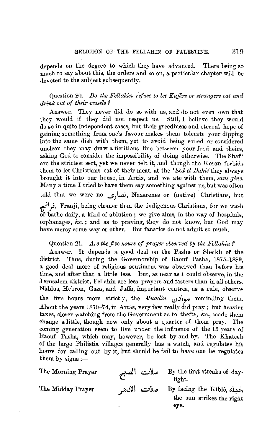depends on the degree to which they have advanced. There being so much to say about this, the orders and so on, a particular chapter will be devoted to the subject subsequently.

## Question 20. *Do the Fellahin refuse to let Kaifirs or strangers eat and drink out of their vessels* ?

Answer. They never did do so with us, and do not even own that they would if they did not respect us. Still, I believe they would do so in quite independent cases, but their greediness and eternal hope of gaining something from one's favour makes them tolerate your dipping into the same dish with them, yet to avoid being soiled or considered unclean they may draw a fictitious line between your food and theirs, asking God to consider the impossibility of doing otherwise. The Shafi' are the strictest sect, yet we never felt it, and though the Koran forbids them to let Christians eat of their meat, at the *'Eed el Dahie* they always brought it into our house, in Artas, and we ate with them, *sans gene*. Many a time I tried to have them say something against us, but was often told that we were no *.\_s.J\..aj'* Nazarenes or (native) Christians, but *tf\},* Franji, being cleaner than the indigenous Christians, for we wash or bathe daily, a kind of ablution ; we give alms, in the way of hospitals, orphanages, &c. ; and as to praying, they do not know, but God may have mercy some way or other. But fanatics do not admit so much.

## Question 21. *Are the five hours of prayer observed by the Fellahin?*

Answer. It depends a good deal on the Pasha or Sheikh of the district. Thus, during the Governorship of Raouf Pasha, 1875-1889, a good deal more of religious sentiment was observed than before his time, and after that a little less. But, as near as I could observe, in the Jernsalem district, Fellahin are less prayers and fasters than in all others. Nâblus, Hebron, Gaza, and Jaffa, important centres, as a rule, observe the five hours more strictly, the *Muadin* <sub>cop</sub> of reminding them. About the years  $1870-74$ , in Artâs, very few really did pray; but heavier taxes, closer watching from the Government as to thefts, &c., made them change a little, though now only about a quarter of them pray. The coming generation seem to live under the influence of the 15 years of Raouf Pasha, which may, however, be lost by and by. The Khateeb of the large Philistia villages generally has a watch, and regulates his hours for calling out by it, but should he fail to have one he regulates them by signs  $:-$ 

The Morning Prayer

.<br>ملات الصبح By the first streaks of daylight.

The Midday Prayer

مقبله By facing the Kiblé, صلات الادهر. the sun strikes the right eye.